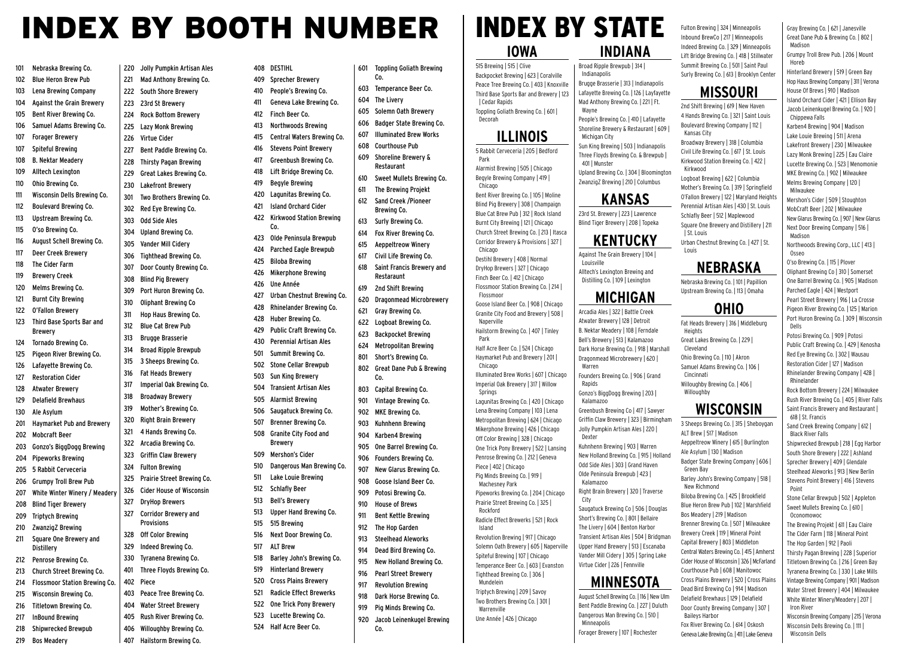## INDEX BY BOOTH NUMBER

408 DESTIHL

412 Finch Beer Co.

Co.

426 Une Année

Brewery

512 Schlafly Beer 513 Bell's Brewery

515 515 Brewing

517 ALT Brew

101 Nebraska Brewing Co. 102 Blue Heron Brew Pub 103 Lena Brewing Company 104 Against the Grain Brewery 105 Bent River Brewing Co. 106 Samuel Adams Brewing Co. 107 Forager Brewery 107 Spiteful Brewing 108 B. Nektar Meadery 109 Alltech Lexington 110 Ohio Brewing Co. 111 Wisconsin Dells Brewing Co. 112 Boulevard Brewing Co. 113 Upstream Brewing Co. 115 O'so Brewing Co. 116 August Schell Brewing Co. 117 Deer Creek Brewery 118 The Cider Farm 119 Brewery Creek 120 Melms Brewing Co. 121 Burnt City Brewing 122 O'Fallon Brewery 123 Third Base Sports Bar and Brewery 124 Tornado Brewing Co. 125 Pigeon River Brewing Co. 126 Lafayette Brewing Co. 127 Restoration Cider 128 Atwater Brewery 129 Delafield Brewhaus 130 Ale Asylum 201 Haymarket Pub and Brewery 202 Mobcraft Beer 203 Gonzo's BiggDogg Brewing 204 Pipeworks Brewing 205 5 Rabbit Cerveceria 206 Grumpy Troll Brew Pub 207 White Winter Winery / Meader 208 Blind Tiger Brewery 209 Triptych Brewing 210 ZwanzigZ Brewing 211 Square One Brewery and **Distillery** 212 Penrose Brewing Co. 213 Church Street Brewing Co. 214 Flossmoor Station Brewing Co. 215 Wisconsin Brewing Co. 216 Titletown Brewing Co. 217 InBound Brewing 218 Shipwrecked Brewpub 223 23rd St Brewery 225 Lazy Monk Brewing 226 Virtue Cider 230 Lakefront Brewery 302 Red Eye Brewing Co. 303 Odd Side Ales 304 Upland Brewing Co. 305 Vander Mill Cidery 308 Blind Pig Brewery 310 Oliphant Brewing Co 312 Blue Cat Brew Pub 313 Brugge Brasserie 316 Fat Heads Brewery 318 Broadway Brewery 319 Mother's Brewing Co. 320 Right Brain Brewery 321 4 Hands Brewing Co. 322 Arcadia Brewing Co. 323 Griffin Claw Brewery 324 Fulton Brewing 327 DryHop Brewers **Provisions** 328 Off Color Brewing 329 Indeed Brewing Co. 402 Piece

219 Bos Meadery

220 Jolly Pumpkin Artisan Ales 221 Mad Anthony Brewing Co. 222 South Shore Brewery 224 Rock Bottom Brewery 227 Bent Paddle Brewing Co. 228 Thirsty Pagan Brewing 229 Great Lakes Brewing Co. 301 Two Brothers Brewing Co. 306 Tighthead Brewing Co. 307 Door County Brewing Co. 309 Port Huron Brewing Co. 311 Hop Haus Brewing Co. 314 Broad Ripple Brewpub 315 3 Sheeps Brewing Co. 317 Imperial Oak Brewing Co. 325 Prairie Street Brewing Co. 326 Cider House of Wisconsin 327 Corridor Brewery and 330 Tyranena Brewing Co. 401 Three Floyds Brewing Co. 403 Peace Tree Brewing Co. 404 Water Street Brewery 405 Rush River Brewing Co. 406 Willoughby Brewing Co.

407 Hailstorm Brewing Co.

409 Sprecher Brewery 410 People's Brewing Co. 411 Geneva Lake Brewing Co. 413 Northwoods Brewing 415 Central Waters Brewing Co. 416 Stevens Point Brewery 417 Greenbush Brewing Co. 418 Lift Bridge Brewing Co. 419 Begyle Brewing 420 Lagunitas Brewing Co. 421 Island Orchard Cider 422 Kirkwood Station Brewing 423 Olde Peninsula Brewpub 424 Parched Eagle Brewpub 425 Biloba Brewing 426 Mikerphone Brewing 427 Urban Chestnut Brewing Co. 428 Rhinelander Brewing Co. 428 Huber Brewing Co. 429 Public Craft Brewing Co. 430 Perennial Artisan Ales 501 Summit Brewing Co. 502 Stone Cellar Brewpub 503 Sun King Brewery 504 Transient Artisan Ales 505 Alarmist Brewing 506 Saugatuck Brewing Co. 507 Brenner Brewing Co. 508 Granite City Food and 509 Mershon's Cider 510 Dangerous Man Brewing Co. 511 Lake Louie Brewing 513 Upper Hand Brewing Co. 516 Next Door Brewing Co. 518 Barley John's Brewing Co. 519 Hinterland Brewery 520 Cross Plains Brewery 521 Radicle Effect Brewerks 522 One Trick Pony Brewery 523 Lucette Brewing Co. 524 Half Acre Beer Co. 601 Toppling Goliath Brewing Co. 603 Temperance Beer Co. 604 The Livery 605 Solemn Oath Brewery 606 Badger State Brewing Co. 607 Illuminated Brew Works 608 Courthouse Pub 609 Shoreline Brewery & Restaurant 610 Sweet Mullets Brewing Co. 611 The Brewing Projekt 612 Sand Creek /Pioneer Brewing Co. 613 Surly Brewing Co. 614 Fox River Brewing Co. 615 Aeppeltreow Winery 617 Civil Life Brewing Co. 618 Saint Francis Brewery and Restaraunt 619 2nd Shift Brewing 620 Dragonmead Microbrewery 621 Gray Brewing Co. 622 Logboat Brewing Co. 623 Backpocket Brewing 624 Metropolitan Brewing 801 Short's Brewing Co. 802 Great Dane Pub & Brewing Co. 803 Capital Brewing Co. 901 Vintage Brewing Co. 902 MKE Brewing Co. 903 Kuhnhenn Brewing 904 Karben4 Brewing 905 One Barrel Brewing Co. 906 Founders Brewing Co. 907 New Glarus Brewing Co. 908 Goose Island Beer Co. 909 Potosi Brewing Co. 910 House of Brews 911 Bent Kettle Brewing 912 The Hop Garden 913 Steelhead Aleworks 914 Dead Bird Brewing Co. 915 New Holland Brewing Co. 916 Pearl Street Brewery 917 Revolution Brewing 918 Dark Horse Brewing Co. 919 Pig Minds Brewing Co. 920 Jacob Leinenkugel Brewing Co.

#### **IOWA** 515 Brewing | 515 | Clive Backpocket Brewing | 623 | Coralville Peace Tree Brewing Co. | 403 | Knoxville Third Base Sports Bar and Brewery | 123 | Cedar Rapids Toppling Goliath Brewing Co. | 601 | Decorah **ILLINOIS** 5 Rabbit Cerveceria | 205 | Bedford Park Alarmist Brewing | 505 | Chicago Begyle Brewing Company | 419 | Chicago Bent River Brewing Co. | 105 | Moline Blind Pig Brewery | 308 | Champaign Blue Cat Brew Pub | 312 | Rock Island Burnt City Brewing | 121 | Chicago Church Street Brewing Co. | 213 | Itasca Corridor Brewery & Provisions | 327 | Chicago Destihl Brewery | 408 | Normal DryHop Brewers | 327 | Chicago Finch Beer Co. | 412 | Chicago Flossmoor Station Brewing Co. | 214 | Flossmoor Goose Island Beer Co. | 908 | Chicago Granite City Food and Brewery | 508 | Naperville Hailstorm Brewing Co. | 407 | Tinley Park Half Acre Beer Co. | 524 | Chicago Haymarket Pub and Brewery | 201 | Chicago Illuminated Brew Works | 607 | Chicago Imperial Oak Brewery | 317 | Willow Springs Lagunitas Brewing Co. | 420 | Chicago Lena Brewing Company | 103 | Lena Metropolitan Brewing | 624 | Chicago Mikerphone Brewing | 426 | Chicago Off Color Brewing | 328 | Chicago One Trick Pony Brewery | 522 | Lansing Penrose Brewing Co. | 212 | Geneva Piece | 402 | Chicago Pig Minds Brewing Co. | 919 | Machesney Park Pipeworks Brewing Co. | 204 | Chicago Prairie Street Brewing Co. | 325 | Rockford Radicle Effect Brewerks | 521 | Rock Island Revolution Brewing | 917 | Chicago Solemn Oath Brewery | 605 | Naperville Spiteful Brewing | 107 | Chicago Temperance Beer Co. | 603 | Evanston Tighthead Brewing Co. | 306 | Mundelein Triptych Brewing | 209 | Savoy

Two Brothers Brewing Co. | 301 |

Une Année | 426 | Chicago

Warrenville

# INDEX BY STATE Fulton Brewing | 324 | Minneapolis

#### **INDIANA**

Broad Ripple Brewpub | 314 | Indianapolis Brugge Brasserie | 313 | Indianapolis Lafayette Brewing Co. | 126 | Layfayette Mad Anthony Brewing Co. | 221 | Ft. Wayne People's Brewing Co. | 410 | Lafayette

Shoreline Brewery & Restaurant | 609 | Michigan City Sun King Brewing | 503 | Indianapolis

Three Floyds Brewing Co. & Brewpub | 401 | Munster Upland Brewing Co. | 304 | Bloomington ZwanzigZ Brewing | 210 | Columbus

### **KANSAS**

23rd St. Brewery | 223 | Lawrence Blind Tiger Brewery | 208 | Topeka

**KENTUCKY**

Against The Grain Brewery | 104 |

Saugatuck Brewing Co | 506 | Douglas Short's Brewing Co. | 801 | Bellaire The Livery | 604 | Benton Harbor Transient Artisan Ales | 504 | Bridgman Upper Hand Brewery | 513 | Escanaba Vander Mill Cidery | 305 | Spring Lake Virtue Cider | 226 | Fennville

### **MINNESOTA** August Schell Brewing Co. | 116 | New Ulm

Bent Paddle Brewing Co. | 227 | Duluth Dangerous Man Brewing Co. | 510 | Minneapolis Forager Brewery | 107 | Rochester

Inbound BrewCo | 217 | Minneapolis Indeed Brewing Co. | 329 | Minneapolis Lift Bridge Brewing Co. | 418 | Stillwater Summit Brewing Co. | 501 | Saint Paul Gray Brewing Co. | 621 | Janesville Great Dane Pub & Brewing Co. | 802 | Madison Grumpy Troll Brew Pub. | 206 | Mount Horeb

Surly Brewing Co. | 613 | Brooklyn Center

**MISSOURI** 2nd Shift Brewing | 619 | New Haven 4 Hands Brewing Co. | 321 | Saint Louis Boulevard Brewing Company | 112 |

Broadway Brewery | 318 | Columbia Civil Life Brewing Co. | 617 | St. Louis Kirkwood Station Brewing Co. | 422 |

Kansas City

Kirkwood

**Heights** 

Cleveland

Cincinnati

Willoughby

Green Bay

New Richmond

Baileys Harbor

Hinterland Brewery | 519 | Green Bay Hop Haus Brewing Company | 311 | Verona House Of Brews | 910 | Madison Island Orchard Cider | 421 | Ellison Bay Jacob Leinenkugel Brewing Co. | 920 |

Chippewa Falls Karben4 Brewing | 904 | Madison Lake Louie Brewing | 511 | Arena Lakefront Brewery | 230 | Milwaukee Lazy Monk Brewing | 225 | Eau Claire Lucette Brewing Co. | 523 | Menomonie MKE Brewing Co. | 902 | Milwaukee

Logboat Brewing | 622 | Columbia Mother's Brewing Co. | 319 | Springfield O'Fallon Brewery | 122 | Maryland Heights Melms Brewing Company | 120 | Milwaukee Mershon's Cider | 509 | Stoughton MobCraft Beer | 202 | Milwaukee New Glarus Brewing Co. | 907 | New Glarus Next Door Brewing Company | 516 |

> Madison Northwoods Brewing Corp., LLC | 413 | Osseo

> > Potosi Brewing Co. | 909 | Potosi Public Craft Brewing Co. | 429 | Kenosha Red Eye Brewing Co. | 302 | Wausau Restoration Cider | 127 | Madison Rhinelander Brewing Company | 428 | Rhinelander Rock Bottom Brewery | 224 | Milwaukee Rush River Brewing Co. | 405 | River Falls Saint Francis Brewery and Restaurant | 618 | St. Francis Sand Creek Brewing Company | 612 | Black River Falls Shipwrecked Brewpub | 218 | Egg Harbor

> > South Shore Brewery | 222 | Ashland Sprecher Brewery | 409 | Glendale Steelhead Aleworks | 913 | New Berlin Stevens Point Brewery | 416 | Stevens Point

Stone Cellar Brewpub | 502 | Appleton Sweet Mullets Brewing Co. | 610 | Oconomowoc

The Brewing Projekt | 611 | Eau Claire The Cider Farm | 118 | Mineral Point The Hop Garden | 912 | Paoli Thirsty Pagan Brewing | 228 | Superior Titletown Brewing Co. | 216 | Green Bay Tyranena Brewing Co. | 330 | Lake Mills Vintage Brewing Company | 901 | Madison Water Street Brewery | 404 | Milwaukee White Winter Winery/Meadery | 207 | Iron River

Wisconsin Brewing Company | 215 | Verona Wisconsin Dells Brewing Co. | 111 | Wisconsin Dells

Louisville Alltech's Lexington Brewing and Distilling Co. | 109 | Lexington **MICHIGAN** Arcadia Ales | 322 | Battle Creek Atwater Brewery | 128 | Detroit B. Nektar Meadery | 108 | Ferndale Bell's Brewery | 513 | Kalamazoo Dark Horse Brewing Co. | 918 | Marshall Dragonmead Microbrewery | 620 | Warren Founders Brewing Co. | 906 | Grand Rapids Gonzo's BiggDogg Brewing | 203 | Kalamazoo Greenbush Brewing Co | 417 | Sawyer Griffin Claw Brewery | 323 | Birmingham Jolly Pumpkin Artisan Ales | 220 | Dexter Kuhnhenn Brewing | 903 | Warren New Holland Brewing Co. | 915 | Holland Odd Side Ales | 303 | Grand Haven Olde Peninsula Brewpub | 423 | Kalamazoo Right Brain Brewery | 320 | Traverse City

Dead Bird Brewing Co | 914 | Madison Delafield Brewhaus | 129 | Delafield Door County Brewing Company | 307 | Fox River Brewing Co. | 614 | Oskosh Geneva Lake Brewing Co. | 411 | Lake Geneva

Perennial Artisan Ales | 430 | St. Louis Schlafly Beer | 512 | Maplewood Square One Brewery and Distillery | 211 | St. Louis Urban Chestnut Brewing Co. | 427 | St. Louis **NEBRASKA**

Nebraska Brewing Co. | 101 | Papillion Upstream Brewing Co. | 113 | Omaha

**OHIO** Fat Heads Brewery | 316 | Middleburg

Great Lakes Brewing Co. | 229 |

Ohio Brewing Co. | 110 | Akron Samuel Adams Brewing Co. | 106 |

Willoughby Brewing Co. | 406 |

ALT Brew | 517 | Madison

**WISCONSIN** 3 Sheeps Brewing Co. | 315 | Sheboygan

Aeppeltreow Winery | 615 | Burlington Ale Asylum | 130 | Madison

Badger State Brewing Company | 606 |

Barley John's Brewing Company | 518 |

Biloba Brewing Co. | 425 | Brookfield Blue Heron Brew Pub | 102 | Marshfield Bos Meadery | 219 | Madison Brenner Brewing Co. | 507 | Milwaukee Brewery Creek | 119 | Mineral Point Capital Brewery | 803 | Middleton Central Waters Brewing Co. | 415 | Amherst Cider House of Wisconsin | 326 | McFarland Courthouse Pub | 608 | Manitowoc Cross Plains Brewery | 520 | Cross Plains

O'so Brewing Co. | 115 | Plover Oliphant Brewing Co | 310 | Somerset One Barrel Brewing Co. | 905 | Madison Parched Eagle | 424 | Westport Pearl Street Brewery | 916 | La Crosse Pigeon River Brewing Co. | 125 | Marion Port Huron Brewing Co. | 309 | Wisconsin Dells